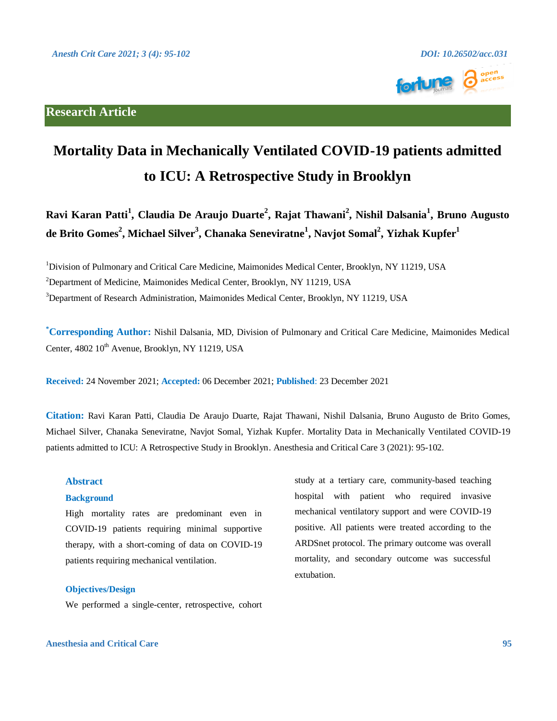## **Research Article**



# **Mortality Data in Mechanically Ventilated COVID-19 patients admitted to ICU: A Retrospective Study in Brooklyn**

**Ravi Karan Patti<sup>1</sup> , Claudia De Araujo Duarte<sup>2</sup> , Rajat Thawani<sup>2</sup> , Nishil Dalsania<sup>1</sup> , Bruno Augusto de Brito Gomes<sup>2</sup> , Michael Silver<sup>3</sup> , Chanaka Seneviratne<sup>1</sup> , Navjot Somal<sup>2</sup> , Yizhak Kupfer<sup>1</sup>**

<sup>1</sup>Division of Pulmonary and Critical Care Medicine, Maimonides Medical Center, Brooklyn, NY 11219, USA

<sup>2</sup>Department of Medicine, Maimonides Medical Center, Brooklyn, NY 11219, USA

<sup>3</sup>Department of Research Administration, Maimonides Medical Center, Brooklyn, NY 11219, USA

**\*Corresponding Author:** Nishil Dalsania, MD, Division of Pulmonary and Critical Care Medicine, Maimonides Medical Center, 4802 10<sup>th</sup> Avenue, Brooklyn, NY 11219, USA

**Received:** 24 November 2021; **Accepted:** 06 December 2021; **Published**: 23 December 2021

**Citation:** Ravi Karan Patti, Claudia De Araujo Duarte, Rajat Thawani, Nishil Dalsania, Bruno Augusto de Brito Gomes, Michael Silver, Chanaka Seneviratne, Navjot Somal, Yizhak Kupfer. Mortality Data in Mechanically Ventilated COVID-19 patients admitted to ICU: A Retrospective Study in Brooklyn. Anesthesia and Critical Care 3 (2021): 95-102.

#### **Abstract**

### **Background**

High mortality rates are predominant even in COVID-19 patients requiring minimal supportive therapy, with a short-coming of data on COVID-19 patients requiring mechanical ventilation.

#### **Objectives/Design**

We performed a single-center, retrospective, cohort

study at a tertiary care, community-based teaching hospital with patient who required invasive mechanical ventilatory support and were COVID-19 positive. All patients were treated according to the ARDSnet protocol. The primary outcome was overall mortality, and secondary outcome was successful extubation.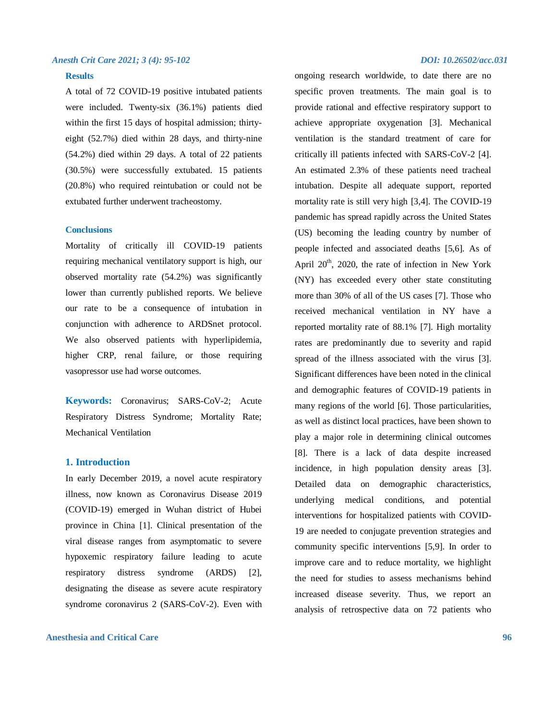#### **Results**

A total of 72 COVID-19 positive intubated patients were included. Twenty-six (36.1%) patients died within the first 15 days of hospital admission; thirtyeight (52.7%) died within 28 days, and thirty-nine (54.2%) died within 29 days. A total of 22 patients (30.5%) were successfully extubated. 15 patients (20.8%) who required reintubation or could not be extubated further underwent tracheostomy.

#### **Conclusions**

Mortality of critically ill COVID-19 patients requiring mechanical ventilatory support is high, our observed mortality rate (54.2%) was significantly lower than currently published reports. We believe our rate to be a consequence of intubation in conjunction with adherence to ARDSnet protocol. We also observed patients with hyperlipidemia, higher CRP, renal failure, or those requiring vasopressor use had worse outcomes.

**Keywords:** Coronavirus; SARS-CoV-2; Acute Respiratory Distress Syndrome; Mortality Rate; Mechanical Ventilation

#### **1. Introduction**

In early December 2019, a novel acute respiratory illness, now known as Coronavirus Disease 2019 (COVID-19) emerged in Wuhan district of Hubei province in China [1]. Clinical presentation of the viral disease ranges from asymptomatic to severe hypoxemic respiratory failure leading to acute respiratory distress syndrome (ARDS) [2], designating the disease as severe acute respiratory syndrome coronavirus 2 (SARS-CoV-2). Even with

#### **Anesthesia and Critical Care 96**

ongoing research worldwide, to date there are no specific proven treatments. The main goal is to provide rational and effective respiratory support to achieve appropriate oxygenation [3]. Mechanical ventilation is the standard treatment of care for critically ill patients infected with SARS-CoV-2 [4]. An estimated 2.3% of these patients need tracheal intubation. Despite all adequate support, reported mortality rate is still very high [3,4]. The COVID-19 pandemic has spread rapidly across the United States (US) becoming the leading country by number of people infected and associated deaths [5,6]. As of April  $20<sup>th</sup>$ , 2020, the rate of infection in New York (NY) has exceeded every other state constituting more than 30% of all of the US cases [7]. Those who received mechanical ventilation in NY have a reported mortality rate of 88.1% [7]. High mortality rates are predominantly due to severity and rapid spread of the illness associated with the virus [3]. Significant differences have been noted in the clinical and demographic features of COVID-19 patients in many regions of the world [6]. Those particularities, as well as distinct local practices, have been shown to play a major role in determining clinical outcomes [8]. There is a lack of data despite increased incidence, in high population density areas [3]. Detailed data on demographic characteristics, underlying medical conditions, and potential interventions for hospitalized patients with COVID-19 are needed to conjugate prevention strategies and community specific interventions [5,9]. In order to improve care and to reduce mortality, we highlight the need for studies to assess mechanisms behind increased disease severity. Thus, we report an analysis of retrospective data on 72 patients who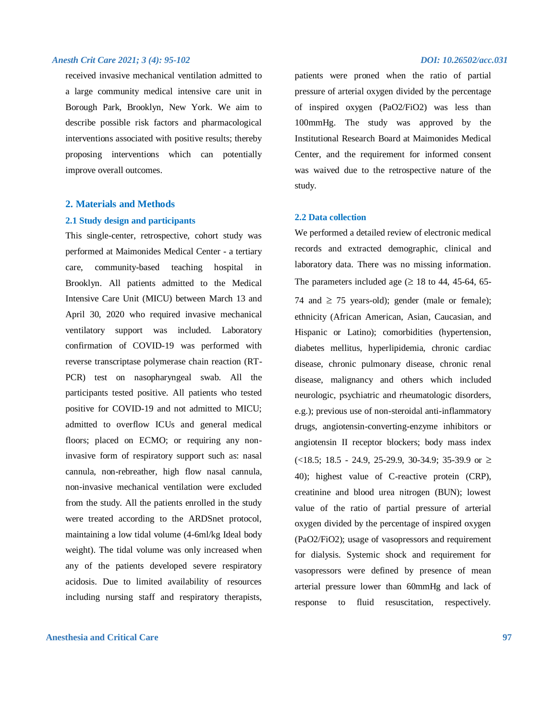received invasive mechanical ventilation admitted to a large community medical intensive care unit in Borough Park, Brooklyn, New York. We aim to describe possible risk factors and pharmacological interventions associated with positive results; thereby proposing interventions which can potentially improve overall outcomes.

#### **2. Materials and Methods**

#### **2.1 Study design and participants**

This single-center, retrospective, cohort study was performed at Maimonides Medical Center - a tertiary care, community-based teaching hospital in Brooklyn. All patients admitted to the Medical Intensive Care Unit (MICU) between March 13 and April 30, 2020 who required invasive mechanical ventilatory support was included. Laboratory confirmation of COVID-19 was performed with reverse transcriptase polymerase chain reaction (RT-PCR) test on nasopharyngeal swab. All the participants tested positive. All patients who tested positive for COVID-19 and not admitted to MICU; admitted to overflow ICUs and general medical floors; placed on ECMO; or requiring any noninvasive form of respiratory support such as: nasal cannula, non-rebreather, high flow nasal cannula, non-invasive mechanical ventilation were excluded from the study. All the patients enrolled in the study were treated according to the ARDSnet protocol, maintaining a low tidal volume (4-6ml/kg Ideal body weight). The tidal volume was only increased when any of the patients developed severe respiratory acidosis. Due to limited availability of resources including nursing staff and respiratory therapists,

#### **Anesthesia and Critical Care 97**

patients were proned when the ratio of partial pressure of arterial oxygen divided by the percentage of inspired oxygen (PaO2/FiO2) was less than 100mmHg. The study was approved by the Institutional Research Board at Maimonides Medical Center, and the requirement for informed consent was waived due to the retrospective nature of the study.

#### **2.2 Data collection**

We performed a detailed review of electronic medical records and extracted demographic, clinical and laboratory data. There was no missing information. The parameters included age  $(\geq 18$  to 44, 45-64, 65-74 and  $\geq$  75 years-old); gender (male or female); ethnicity (African American, Asian, Caucasian, and Hispanic or Latino); comorbidities (hypertension, diabetes mellitus, hyperlipidemia, chronic cardiac disease, chronic pulmonary disease, chronic renal disease, malignancy and others which included neurologic, psychiatric and rheumatologic disorders, e.g.); previous use of non-steroidal anti-inflammatory drugs, angiotensin-converting-enzyme inhibitors or angiotensin II receptor blockers; body mass index  $(<18.5; 18.5 - 24.9, 25-29.9, 30-34.9; 35-39.9$  or  $\geq$ 40); highest value of C-reactive protein (CRP), creatinine and blood urea nitrogen (BUN); lowest value of the ratio of partial pressure of arterial oxygen divided by the percentage of inspired oxygen (PaO2/FiO2); usage of vasopressors and requirement for dialysis. Systemic shock and requirement for vasopressors were defined by presence of mean arterial pressure lower than 60mmHg and lack of response to fluid resuscitation, respectively.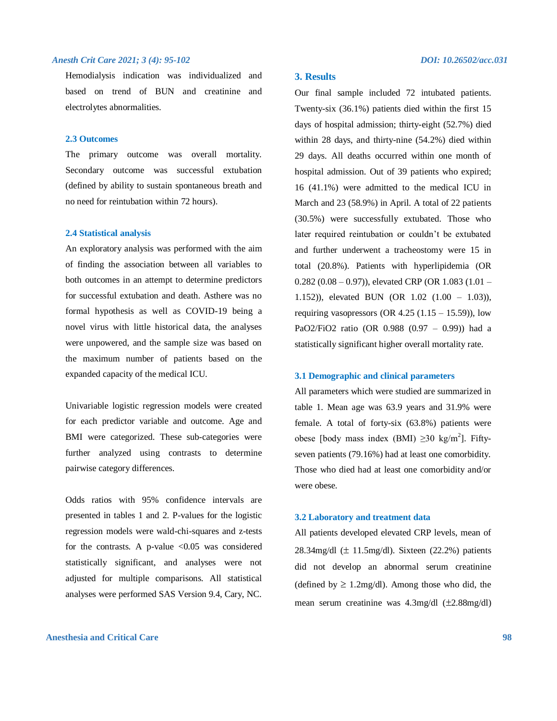Hemodialysis indication was individualized and based on trend of BUN and creatinine and electrolytes abnormalities.

#### **2.3 Outcomes**

The primary outcome was overall mortality. Secondary outcome was successful extubation (defined by ability to sustain spontaneous breath and no need for reintubation within 72 hours).

#### **2.4 Statistical analysis**

An exploratory analysis was performed with the aim of finding the association between all variables to both outcomes in an attempt to determine predictors for successful extubation and death. Asthere was no formal hypothesis as well as COVID-19 being a novel virus with little historical data, the analyses were unpowered, and the sample size was based on the maximum number of patients based on the expanded capacity of the medical ICU.

Univariable logistic regression models were created for each predictor variable and outcome. Age and BMI were categorized. These sub-categories were further analyzed using contrasts to determine pairwise category differences.

Odds ratios with 95% confidence intervals are presented in tables 1 and 2. P-values for the logistic regression models were wald-chi-squares and z-tests for the contrasts. A p-value  $\langle 0.05 \rangle$  was considered statistically significant, and analyses were not adjusted for multiple comparisons. All statistical analyses were performed SAS Version 9.4, Cary, NC.

#### **Anesthesia and Critical Care 98**

#### **3. Results**

Our final sample included 72 intubated patients. Twenty-six (36.1%) patients died within the first 15 days of hospital admission; thirty-eight (52.7%) died within 28 days, and thirty-nine (54.2%) died within 29 days. All deaths occurred within one month of hospital admission. Out of 39 patients who expired; 16 (41.1%) were admitted to the medical ICU in March and 23 (58.9%) in April. A total of 22 patients (30.5%) were successfully extubated. Those who later required reintubation or couldn't be extubated and further underwent a tracheostomy were 15 in total (20.8%). Patients with hyperlipidemia (OR  $(0.282 (0.08 - 0.97))$ , elevated CRP (OR 1.083 (1.01 – 1.152)), elevated BUN (OR 1.02 (1.00 – 1.03)), requiring vasopressors (OR  $4.25$  (1.15 – 15.59)), low PaO2/FiO2 ratio (OR 0.988 (0.97 – 0.99)) had a statistically significant higher overall mortality rate.

#### **3.1 Demographic and clinical parameters**

All parameters which were studied are summarized in table 1. Mean age was 63.9 years and 31.9% were female. A total of forty-six (63.8%) patients were obese [body mass index (BMI)  $\geq$ 30 kg/m<sup>2</sup>]. Fiftyseven patients (79.16%) had at least one comorbidity. Those who died had at least one comorbidity and/or were obese.

#### **3.2 Laboratory and treatment data**

All patients developed elevated CRP levels, mean of 28.34mg/dl  $(\pm 11.5 \text{mg/dl})$ . Sixteen (22.2%) patients did not develop an abnormal serum creatinine (defined by  $\geq 1.2$ mg/dl). Among those who did, the mean serum creatinine was  $4.3 \text{mg/dl}$  ( $\pm 2.88 \text{mg/dl}$ )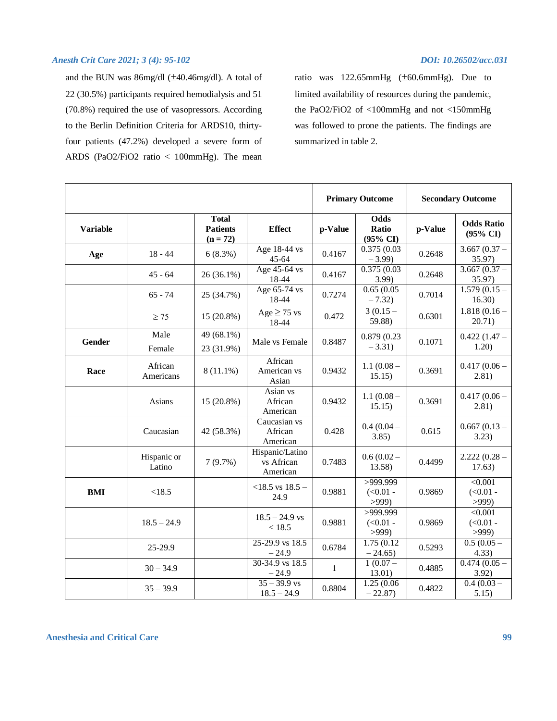and the BUN was  $86$ mg/dl ( $\pm 40.46$ mg/dl). A total of 22 (30.5%) participants required hemodialysis and 51 (70.8%) required the use of vasopressors. According to the Berlin Definition Criteria for ARDS10, thirtyfour patients (47.2%) developed a severe form of ARDS (PaO2/FiO2 ratio < 100mmHg). The mean

ratio was  $122.65$ mmHg  $(\pm 60.6$ mmHg). Due to limited availability of resources during the pandemic, the PaO2/FiO2 of <100mmHg and not <150mmHg was followed to prone the patients. The findings are summarized in table 2.

|                 |                       |                                               |                                           | <b>Primary Outcome</b> |                                  | <b>Secondary Outcome</b> |                                      |
|-----------------|-----------------------|-----------------------------------------------|-------------------------------------------|------------------------|----------------------------------|--------------------------|--------------------------------------|
| <b>Variable</b> |                       | <b>Total</b><br><b>Patients</b><br>$(n = 72)$ | <b>Effect</b>                             | p-Value                | <b>Odds</b><br>Ratio<br>(95% CI) | p-Value                  | <b>Odds Ratio</b><br>(95% CI)        |
| Age             | $18 - 44$             | 6(8.3%)                                       | Age 18-44 vs<br>$45 - 64$                 | 0.4167                 | 0.375(0.03)<br>$-3.99$           | 0.2648                   | $3.667(0.37 -$<br>35.97)             |
|                 | $45 - 64$             | $26(36.1\%)$                                  | Age 45-64 vs<br>18-44                     | 0.4167                 | 0.375(0.03)<br>$-3.99$           | 0.2648                   | $3.667(0.37 -$<br>35.97)             |
|                 | $65 - 74$             | 25 (34.7%)                                    | Age 65-74 vs<br>18-44                     | 0.7274                 | 0.65(0.05)<br>$-7.32$            | 0.7014                   | $1.5\overline{79}$ (0.15 –<br>16.30) |
|                 | $\geq 75$             | 15 (20.8%)                                    | $Age \geq 75$ vs<br>18-44                 | 0.472                  | $3(0.15 -$<br>59.88)             | 0.6301                   | $1.818(0.16 -$<br>20.71)             |
| Gender          | Male<br>Female        | 49 (68.1%)<br>23 (31.9%)                      | Male vs Female                            | 0.8487                 | 0.879 (0.23)<br>$-3.31)$         | 0.1071                   | $0.422(1.47 -$<br>1.20)              |
| Race            | African<br>Americans  | $8(11.1\%)$                                   | African<br>American vs<br>Asian           | 0.9432                 | $1.1(0.08 -$<br>15.15)           | 0.3691                   | $0.417(0.06 -$<br>2.81)              |
|                 | Asians                | $15(20.8\%)$                                  | Asian vs<br>African<br>American           | 0.9432                 | $1.1(0.08 -$<br>15.15)           | 0.3691                   | $0.417(0.06 -$<br>2.81)              |
|                 | Caucasian             | 42 (58.3%)                                    | Caucasian vs<br>African<br>American       | 0.428                  | $0.4(0.04 -$<br>3.85)            | 0.615                    | $0.667(0.13 -$<br>3.23)              |
|                 | Hispanic or<br>Latino | 7(9.7%)                                       | Hispanic/Latino<br>vs African<br>American | 0.7483                 | $0.6(0.02 -$<br>13.58)           | 0.4499                   | $2.222(0.28 -$<br>17.63)             |
| BMI             | < 18.5                |                                               | $<$ 18.5 vs 18.5 –<br>24.9                | 0.9881                 | >999.999<br>$(<0.01 -$<br>>999   | 0.9869                   | < 0.001<br>$(<0.01 -$<br>>999        |
|                 | $18.5 - 24.9$         |                                               | $18.5 - 24.9$ vs<br>< 18.5                | 0.9881                 | >999.999<br>$(<0.01 -$<br>>999   | 0.9869                   | < 0.001<br>$(<0.01 -$<br>>999        |
|                 | 25-29.9               |                                               | $25-29.9$ vs $18.5$<br>$-24.9$            | 0.6784                 | 1.75(0.12)<br>$-24.65$           | 0.5293                   | $0.5(0.05 -$<br>4.33)                |
|                 | $30 - 34.9$           |                                               | 30-34.9 vs 18.5<br>$-24.9$                | $\mathbf{1}$           | $1(0.07 -$<br>13.01)             | 0.4885                   | $0.474(0.05 -$<br>3.92)              |
|                 | $35 - 39.9$           |                                               | $35 - 39.9$ vs<br>$18.5 - 24.9$           | 0.8804                 | 1.25 (0.06)<br>$-22.87$          | 0.4822                   | $0.4(0.03 -$<br>5.15)                |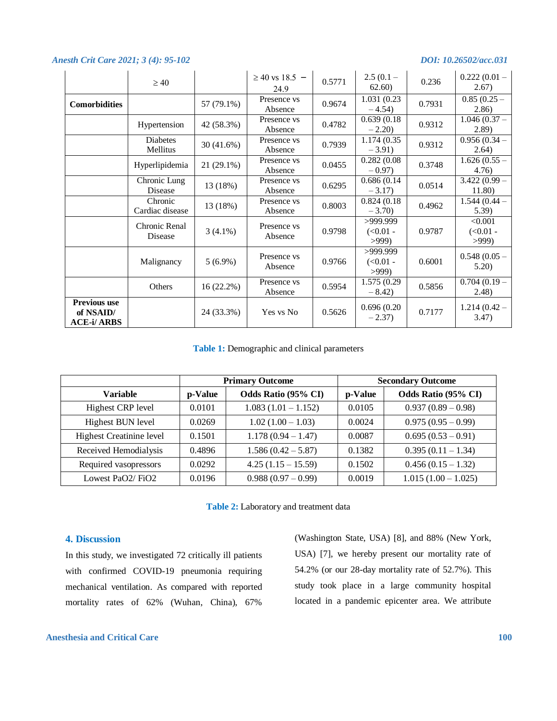|                                                       | $\geq 40$                   |              | $\geq$ 40 vs 18.5 –<br>24.9 | 0.5771 | $2.5(0.1 -$<br>62.60)          | 0.236  | $0.222(0.01 -$<br>2.67)       |
|-------------------------------------------------------|-----------------------------|--------------|-----------------------------|--------|--------------------------------|--------|-------------------------------|
| <b>Comorbidities</b>                                  |                             | 57 (79.1%)   | Presence vs<br>Absence      | 0.9674 | 1.031 (0.23)<br>$-4.54$        | 0.7931 | $0.85(0.25 -$<br>(2.86)       |
|                                                       | Hypertension                | 42 (58.3%)   | Presence vs<br>Absence      | 0.4782 | 0.639(0.18)<br>$-2.20$         | 0.9312 | $1.046(0.37 -$<br>(2.89)      |
|                                                       | <b>Diabetes</b><br>Mellitus | 30 (41.6%)   | Presence vs<br>Absence      | 0.7939 | 1.174 (0.35)<br>$-3.91$ )      | 0.9312 | $0.956(0.34 -$<br>2.64)       |
|                                                       | Hyperlipidemia              | $21(29.1\%)$ | Presence vs<br>Absence      | 0.0455 | 0.282(0.08)<br>$-0.97$         | 0.3748 | $1.626(0.55 -$<br>4.76)       |
|                                                       | Chronic Lung<br>Disease     | 13 (18%)     | Presence vs<br>Absence      | 0.6295 | 0.686(0.14)<br>$-3.17$         | 0.0514 | $3.422(0.99 -$<br>11.80)      |
|                                                       | Chronic<br>Cardiac disease  | 13 (18%)     | Presence vs<br>Absence      | 0.8003 | 0.824(0.18)<br>$-3.70$         | 0.4962 | $1.544(0.44 -$<br>5.39)       |
|                                                       | Chronic Renal<br>Disease    | $3(4.1\%)$   | Presence vs<br>Absence      | 0.9798 | >999.999<br>$(<0.01 -$<br>>999 | 0.9787 | < 0.001<br>$(<0.01 -$<br>>999 |
|                                                       | Malignancy                  | $5(6.9\%)$   | Presence vs<br>Absence      | 0.9766 | >999.999<br>$(<0.01 -$<br>>999 | 0.6001 | $0.548(0.05 -$<br>5.20)       |
|                                                       | Others                      | 16(22.2%)    | Presence vs<br>Absence      | 0.5954 | 1.575 (0.29)<br>$-8.42$        | 0.5856 | $0.704(0.19 -$<br>2.48)       |
| <b>Previous use</b><br>of NSAID/<br><b>ACE-i/ARBS</b> |                             | 24 (33.3%)   | Yes vs No                   | 0.5626 | 0.696(0.20)<br>$-2.37$         | 0.7177 | $1.214(0.42 -$<br>3.47)       |

**Table 1:** Demographic and clinical parameters

|                                 | <b>Primary Outcome</b> |                       | <b>Secondary Outcome</b> |                       |  |
|---------------------------------|------------------------|-----------------------|--------------------------|-----------------------|--|
| <b>Variable</b>                 | p-Value                | Odds Ratio (95% CI)   | p-Value                  | Odds Ratio (95% CI)   |  |
| <b>Highest CRP level</b>        | 0.0101                 | $1.083(1.01 - 1.152)$ | 0.0105                   | $0.937(0.89-0.98)$    |  |
| <b>Highest BUN level</b>        | 0.0269                 | $1.02(1.00 - 1.03)$   | 0.0024                   | $0.975(0.95-0.99)$    |  |
| <b>Highest Creatinine level</b> | 0.1501                 | $1.178(0.94 - 1.47)$  | 0.0087                   | $0.695(0.53-0.91)$    |  |
| Received Hemodialysis           | 0.4896                 | $1.586(0.42 - 5.87)$  | 0.1382                   | $0.395(0.11-1.34)$    |  |
| Required vasopressors           | 0.0292                 | $4.25(1.15-15.59)$    | 0.1502                   | $0.456(0.15-1.32)$    |  |
| Lowest PaO2/FiO2                | 0.0196                 | $0.988(0.97-0.99)$    | 0.0019                   | $1.015(1.00 - 1.025)$ |  |

**Table 2:** Laboratory and treatment data

### **4. Discussion**

In this study, we investigated 72 critically ill patients with confirmed COVID-19 pneumonia requiring mechanical ventilation. As compared with reported mortality rates of 62% (Wuhan, China), 67%

(Washington State, USA) [8], and 88% (New York, USA) [7], we hereby present our mortality rate of 54.2% (or our 28-day mortality rate of 52.7%). This study took place in a large community hospital located in a pandemic epicenter area. We attribute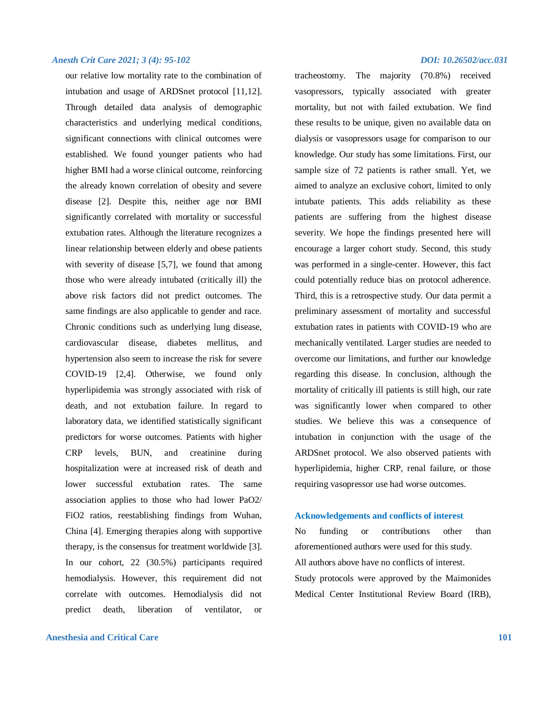our relative low mortality rate to the combination of intubation and usage of ARDSnet protocol [11,12]. Through detailed data analysis of demographic characteristics and underlying medical conditions, significant connections with clinical outcomes were established. We found younger patients who had higher BMI had a worse clinical outcome, reinforcing the already known correlation of obesity and severe disease [2]. Despite this, neither age nor BMI significantly correlated with mortality or successful extubation rates. Although the literature recognizes a linear relationship between elderly and obese patients with severity of disease [5,7], we found that among those who were already intubated (critically ill) the above risk factors did not predict outcomes. The same findings are also applicable to gender and race. Chronic conditions such as underlying lung disease, cardiovascular disease, diabetes mellitus, and hypertension also seem to increase the risk for severe COVID-19 [2,4]. Otherwise, we found only hyperlipidemia was strongly associated with risk of death, and not extubation failure. In regard to laboratory data, we identified statistically significant predictors for worse outcomes. Patients with higher CRP levels, BUN, and creatinine during hospitalization were at increased risk of death and lower successful extubation rates. The same association applies to those who had lower PaO2/ FiO2 ratios, reestablishing findings from Wuhan, China [4]. Emerging therapies along with supportive therapy, is the consensus for treatment worldwide [3]. In our cohort, 22 (30.5%) participants required hemodialysis. However, this requirement did not correlate with outcomes. Hemodialysis did not predict death, liberation of ventilator, or

#### **Anesthesia and Critical Care 101**

tracheostomy. The majority (70.8%) received vasopressors, typically associated with greater mortality, but not with failed extubation. We find these results to be unique, given no available data on dialysis or vasopressors usage for comparison to our knowledge. Our study has some limitations. First, our sample size of 72 patients is rather small. Yet, we aimed to analyze an exclusive cohort, limited to only intubate patients. This adds reliability as these patients are suffering from the highest disease severity. We hope the findings presented here will encourage a larger cohort study. Second, this study was performed in a single-center. However, this fact could potentially reduce bias on protocol adherence. Third, this is a retrospective study. Our data permit a preliminary assessment of mortality and successful extubation rates in patients with COVID-19 who are mechanically ventilated. Larger studies are needed to overcome our limitations, and further our knowledge regarding this disease. In conclusion, although the mortality of critically ill patients is still high, our rate was significantly lower when compared to other studies. We believe this was a consequence of intubation in conjunction with the usage of the ARDSnet protocol. We also observed patients with hyperlipidemia, higher CRP, renal failure, or those requiring vasopressor use had worse outcomes.

#### **Acknowledgements and conflicts of interest**

No funding or contributions other than aforementioned authors were used for this study. All authors above have no conflicts of interest. Study protocols were approved by the Maimonides Medical Center Institutional Review Board (IRB),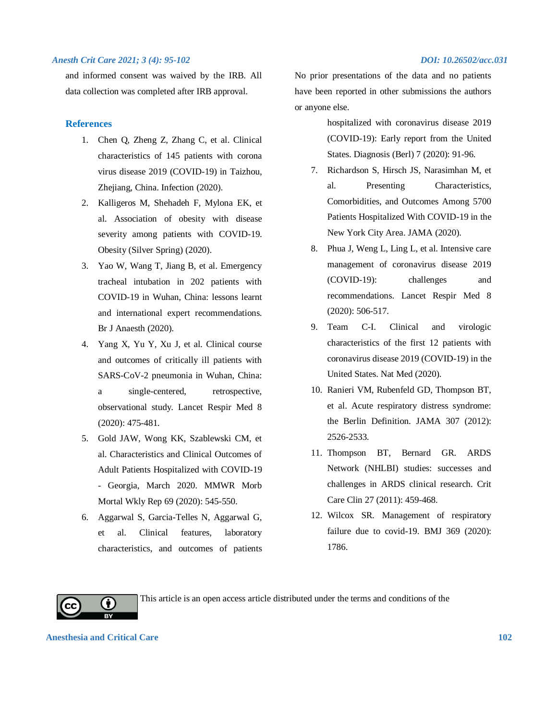and informed consent was waived by the IRB. All data collection was completed after IRB approval.

#### **References**

- 1. Chen Q, Zheng Z, Zhang C, et al. Clinical characteristics of 145 patients with corona virus disease 2019 (COVID-19) in Taizhou, Zhejiang, China. Infection (2020).
- 2. Kalligeros M, Shehadeh F, Mylona EK, et al. Association of obesity with disease severity among patients with COVID-19. Obesity (Silver Spring) (2020).
- 3. Yao W, Wang T, Jiang B, et al. Emergency tracheal intubation in 202 patients with COVID-19 in Wuhan, China: lessons learnt and international expert recommendations. Br J Anaesth (2020).
- 4. Yang X, Yu Y, Xu J, et al. Clinical course and outcomes of critically ill patients with SARS-CoV-2 pneumonia in Wuhan, China: a single-centered, retrospective, observational study. Lancet Respir Med 8 (2020): 475-481.
- 5. Gold JAW, Wong KK, Szablewski CM, et al. Characteristics and Clinical Outcomes of Adult Patients Hospitalized with COVID-19 - Georgia, March 2020. MMWR Morb Mortal Wkly Rep 69 (2020): 545-550.
- 6. Aggarwal S, Garcia-Telles N, Aggarwal G, et al. Clinical features, laboratory characteristics, and outcomes of patients

No prior presentations of the data and no patients have been reported in other submissions the authors or anyone else.

- hospitalized with coronavirus disease 2019 (COVID-19): Early report from the United States. Diagnosis (Berl) 7 (2020): 91-96.
- 7. Richardson S, Hirsch JS, Narasimhan M, et al. Presenting Characteristics, Comorbidities, and Outcomes Among 5700 Patients Hospitalized With COVID-19 in the New York City Area. JAMA (2020).
- 8. Phua J, Weng L, Ling L, et al. Intensive care management of coronavirus disease 2019 (COVID-19): challenges and recommendations. Lancet Respir Med 8 (2020): 506-517.
- 9. Team C-I. Clinical and virologic characteristics of the first 12 patients with coronavirus disease 2019 (COVID-19) in the United States. Nat Med (2020).
- 10. Ranieri VM, Rubenfeld GD, Thompson BT, et al. Acute respiratory distress syndrome: the Berlin Definition. JAMA 307 (2012): 2526-2533.
- 11. Thompson BT, Bernard GR. ARDS Network (NHLBI) studies: successes and challenges in ARDS clinical research. Crit Care Clin 27 (2011): 459-468.
- 12. Wilcox SR. Management of respiratory failure due to covid-19. BMJ 369 (2020): 1786.



This article is an open access article distributed under the terms and conditions of the